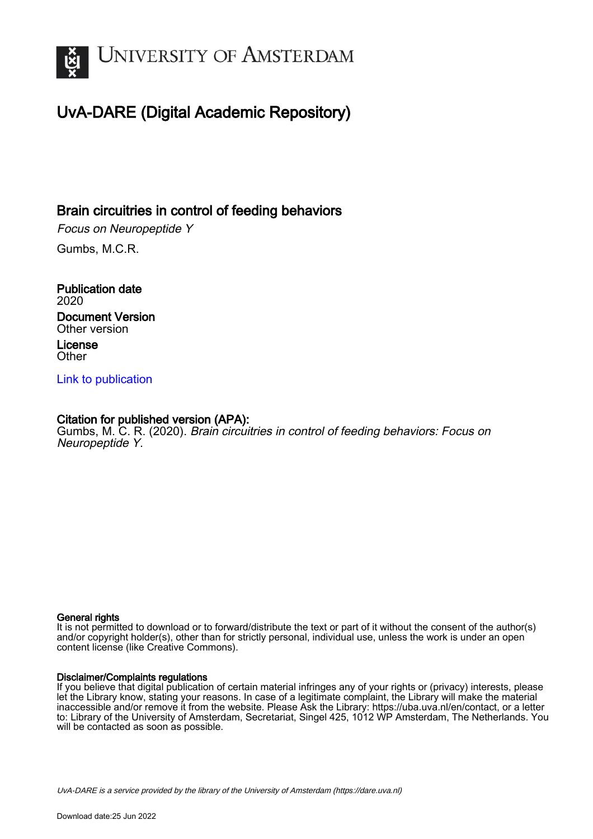

# UvA-DARE (Digital Academic Repository)

# Brain circuitries in control of feeding behaviors

Focus on Neuropeptide Y Gumbs, M.C.R.

Publication date 2020 Document Version Other version License **Other** 

[Link to publication](https://dare.uva.nl/personal/pure/en/publications/brain-circuitries-in-control-of-feeding-behaviors(163aeb85-0675-4be4-9d47-75658b20a169).html)

### Citation for published version (APA):

Gumbs, M. C. R. (2020). Brain circuitries in control of feeding behaviors: Focus on Neuropeptide Y.

#### General rights

It is not permitted to download or to forward/distribute the text or part of it without the consent of the author(s) and/or copyright holder(s), other than for strictly personal, individual use, unless the work is under an open content license (like Creative Commons).

#### Disclaimer/Complaints regulations

If you believe that digital publication of certain material infringes any of your rights or (privacy) interests, please let the Library know, stating your reasons. In case of a legitimate complaint, the Library will make the material inaccessible and/or remove it from the website. Please Ask the Library: https://uba.uva.nl/en/contact, or a letter to: Library of the University of Amsterdam, Secretariat, Singel 425, 1012 WP Amsterdam, The Netherlands. You will be contacted as soon as possible.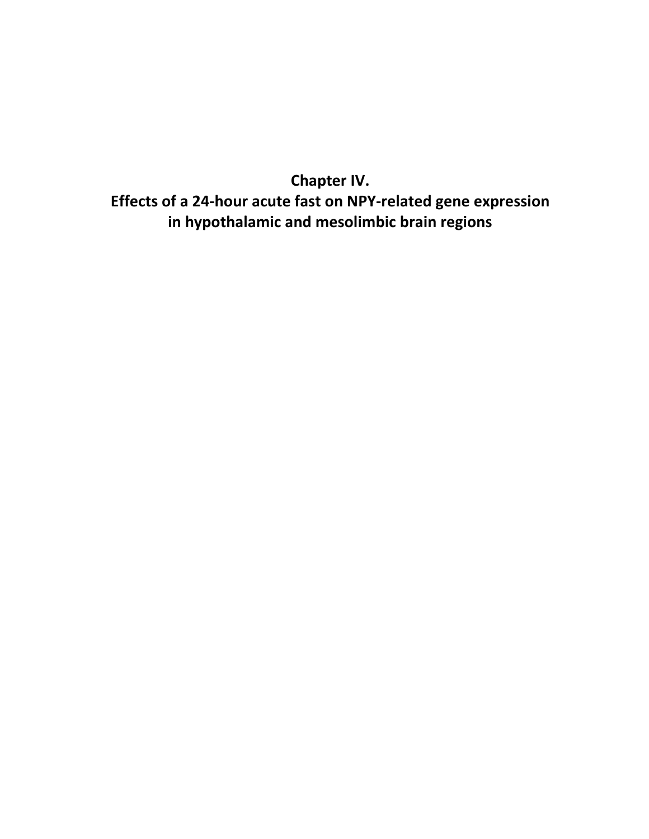**Chapter IV. Effects of a 24-hour acute fast on NPY-related gene expression in hypothalamic and mesolimbic brain regions**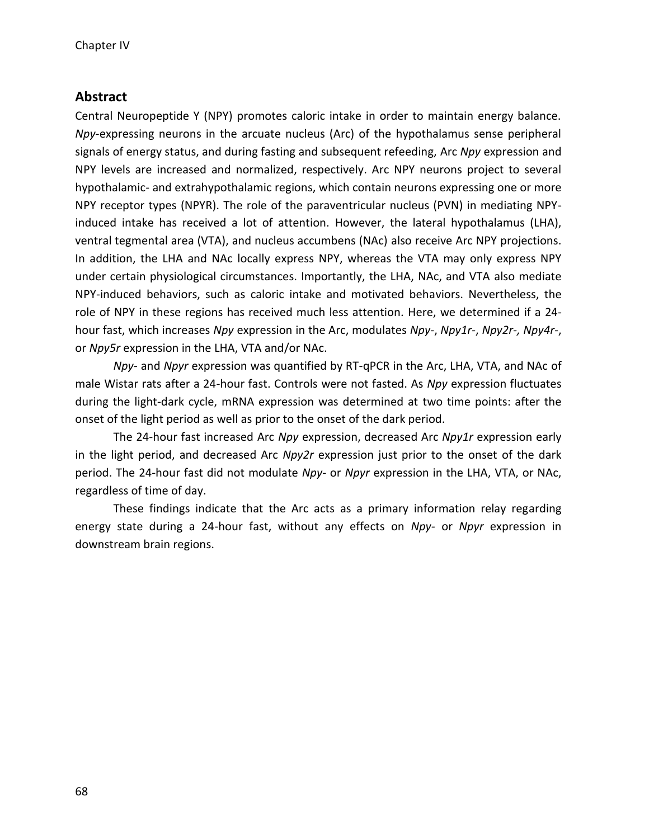# **Abstract**

Central Neuropeptide Y (NPY) promotes caloric intake in order to maintain energy balance. *Npy*-expressing neurons in the arcuate nucleus (Arc) of the hypothalamus sense peripheral signals of energy status, and during fasting and subsequent refeeding, Arc *Npy* expression and NPY levels are increased and normalized, respectively. Arc NPY neurons project to several hypothalamic- and extrahypothalamic regions, which contain neurons expressing one or more NPY receptor types (NPYR). The role of the paraventricular nucleus (PVN) in mediating NPYinduced intake has received a lot of attention. However, the lateral hypothalamus (LHA), ventral tegmental area (VTA), and nucleus accumbens (NAc) also receive Arc NPY projections. In addition, the LHA and NAc locally express NPY, whereas the VTA may only express NPY under certain physiological circumstances. Importantly, the LHA, NAc, and VTA also mediate NPY-induced behaviors, such as caloric intake and motivated behaviors. Nevertheless, the role of NPY in these regions has received much less attention. Here, we determined if a 24 hour fast, which increases *Npy* expression in the Arc, modulates *Npy-*, *Npy1r-*, *Npy2r-, Npy4r-*, or *Npy5r* expression in the LHA, VTA and/or NAc.

*Npy-* and *Npyr* expression was quantified by RT-qPCR in the Arc, LHA, VTA, and NAc of male Wistar rats after a 24-hour fast. Controls were not fasted. As *Npy* expression fluctuates during the light-dark cycle, mRNA expression was determined at two time points: after the onset of the light period as well as prior to the onset of the dark period.

The 24-hour fast increased Arc *Npy* expression, decreased Arc *Npy1r* expression early in the light period, and decreased Arc *Npy2r* expression just prior to the onset of the dark period. The 24-hour fast did not modulate *Npy-* or *Npyr* expression in the LHA, VTA, or NAc, regardless of time of day.

These findings indicate that the Arc acts as a primary information relay regarding energy state during a 24-hour fast, without any effects on *Npy-* or *Npyr* expression in downstream brain regions.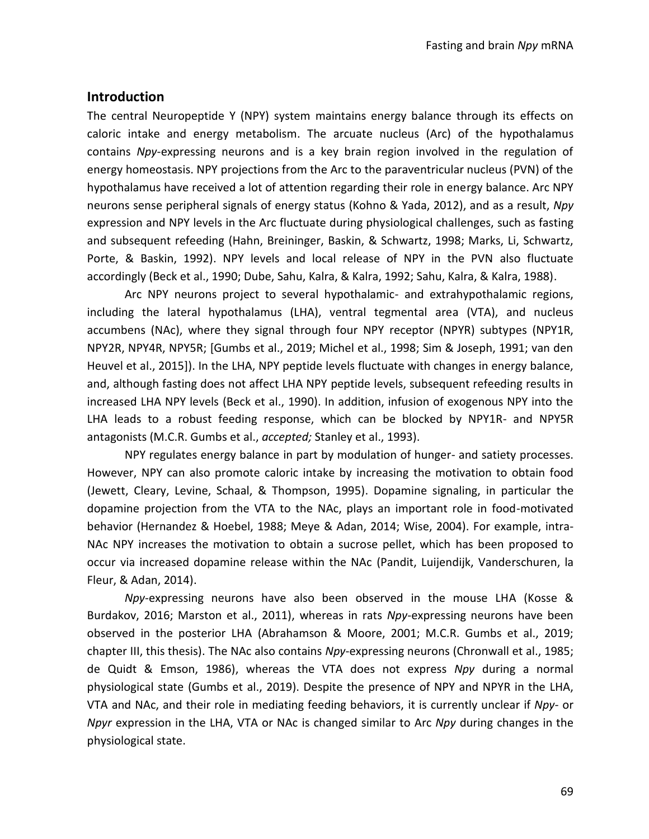### **Introduction**

The central Neuropeptide Y (NPY) system maintains energy balance through its effects on caloric intake and energy metabolism. The arcuate nucleus (Arc) of the hypothalamus contains *Npy*-expressing neurons and is a key brain region involved in the regulation of energy homeostasis. NPY projections from the Arc to the paraventricular nucleus (PVN) of the hypothalamus have received a lot of attention regarding their role in energy balance. Arc NPY neurons sense peripheral signals of energy status (Kohno & Yada, 2012), and as a result, *Npy* expression and NPY levels in the Arc fluctuate during physiological challenges, such as fasting and subsequent refeeding (Hahn, Breininger, Baskin, & Schwartz, 1998; Marks, Li, Schwartz, Porte, & Baskin, 1992). NPY levels and local release of NPY in the PVN also fluctuate accordingly (Beck et al., 1990; Dube, Sahu, Kalra, & Kalra, 1992; Sahu, Kalra, & Kalra, 1988).

Arc NPY neurons project to several hypothalamic- and extrahypothalamic regions, including the lateral hypothalamus (LHA), ventral tegmental area (VTA), and nucleus accumbens (NAc), where they signal through four NPY receptor (NPYR) subtypes (NPY1R, NPY2R, NPY4R, NPY5R; [Gumbs et al., 2019; Michel et al., 1998; Sim & Joseph, 1991; van den Heuvel et al., 2015]). In the LHA, NPY peptide levels fluctuate with changes in energy balance, and, although fasting does not affect LHA NPY peptide levels, subsequent refeeding results in increased LHA NPY levels (Beck et al., 1990). In addition, infusion of exogenous NPY into the LHA leads to a robust feeding response, which can be blocked by NPY1R- and NPY5R antagonists (M.C.R. Gumbs et al., *accepted;* Stanley et al., 1993).

NPY regulates energy balance in part by modulation of hunger- and satiety processes. However, NPY can also promote caloric intake by increasing the motivation to obtain food (Jewett, Cleary, Levine, Schaal, & Thompson, 1995). Dopamine signaling, in particular the dopamine projection from the VTA to the NAc, plays an important role in food-motivated behavior (Hernandez & Hoebel, 1988; Meye & Adan, 2014; Wise, 2004). For example, intra-NAc NPY increases the motivation to obtain a sucrose pellet, which has been proposed to occur via increased dopamine release within the NAc (Pandit, Luijendijk, Vanderschuren, la Fleur, & Adan, 2014).

*Npy*-expressing neurons have also been observed in the mouse LHA (Kosse & Burdakov, 2016; Marston et al., 2011), whereas in rats *Npy*-expressing neurons have been observed in the posterior LHA (Abrahamson & Moore, 2001; M.C.R. Gumbs et al., 2019; chapter III, this thesis). The NAc also contains *Npy*-expressing neurons (Chronwall et al., 1985; de Quidt & Emson, 1986), whereas the VTA does not express *Npy* during a normal physiological state (Gumbs et al., 2019). Despite the presence of NPY and NPYR in the LHA, VTA and NAc, and their role in mediating feeding behaviors, it is currently unclear if *Npy-* or *Npyr* expression in the LHA, VTA or NAc is changed similar to Arc *Npy* during changes in the physiological state.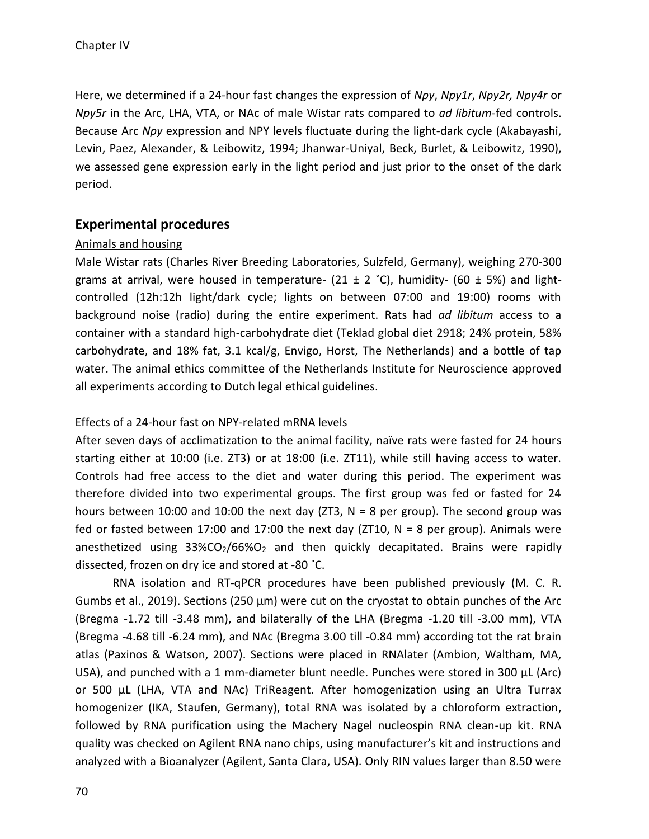Here, we determined if a 24-hour fast changes the expression of *Npy*, *Npy1r*, *Npy2r, Npy4r* or *Npy5r* in the Arc, LHA, VTA, or NAc of male Wistar rats compared to *ad libitum*-fed controls. Because Arc *Npy* expression and NPY levels fluctuate during the light-dark cycle (Akabayashi, Levin, Paez, Alexander, & Leibowitz, 1994; Jhanwar-Uniyal, Beck, Burlet, & Leibowitz, 1990), we assessed gene expression early in the light period and just prior to the onset of the dark period.

# **Experimental procedures**

# Animals and housing

Male Wistar rats (Charles River Breeding Laboratories, Sulzfeld, Germany), weighing 270-300 grams at arrival, were housed in temperature- (21  $\pm$  2 °C), humidity- (60  $\pm$  5%) and lightcontrolled (12h:12h light/dark cycle; lights on between 07:00 and 19:00) rooms with background noise (radio) during the entire experiment. Rats had *ad libitum* access to a container with a standard high-carbohydrate diet (Teklad global diet 2918; 24% protein, 58% carbohydrate, and 18% fat, 3.1 kcal/g, Envigo, Horst, The Netherlands) and a bottle of tap water. The animal ethics committee of the Netherlands Institute for Neuroscience approved all experiments according to Dutch legal ethical guidelines.

# Effects of a 24-hour fast on NPY-related mRNA levels

After seven days of acclimatization to the animal facility, naïve rats were fasted for 24 hours starting either at 10:00 (i.e. ZT3) or at 18:00 (i.e. ZT11), while still having access to water. Controls had free access to the diet and water during this period. The experiment was therefore divided into two experimental groups. The first group was fed or fasted for 24 hours between 10:00 and 10:00 the next day (ZT3,  $N = 8$  per group). The second group was fed or fasted between 17:00 and 17:00 the next day ( $ZT10$ ,  $N = 8$  per group). Animals were anesthetized using  $33\%CO<sub>2</sub>/66\%O<sub>2</sub>$  and then quickly decapitated. Brains were rapidly dissected, frozen on dry ice and stored at -80 ˚C.

RNA isolation and RT-qPCR procedures have been published previously (M. C. R. Gumbs et al., 2019). Sections (250 µm) were cut on the cryostat to obtain punches of the Arc (Bregma -1.72 till -3.48 mm), and bilaterally of the LHA (Bregma -1.20 till -3.00 mm), VTA (Bregma -4.68 till -6.24 mm), and NAc (Bregma 3.00 till -0.84 mm) according tot the rat brain atlas (Paxinos & Watson, 2007). Sections were placed in RNAlater (Ambion, Waltham, MA, USA), and punched with a 1 mm-diameter blunt needle. Punches were stored in 300 µL (Arc) or 500 µL (LHA, VTA and NAc) TriReagent. After homogenization using an Ultra Turrax homogenizer (IKA, Staufen, Germany), total RNA was isolated by a chloroform extraction, followed by RNA purification using the Machery Nagel nucleospin RNA clean-up kit. RNA quality was checked on Agilent RNA nano chips, using manufacturer's kit and instructions and analyzed with a Bioanalyzer (Agilent, Santa Clara, USA). Only RIN values larger than 8.50 were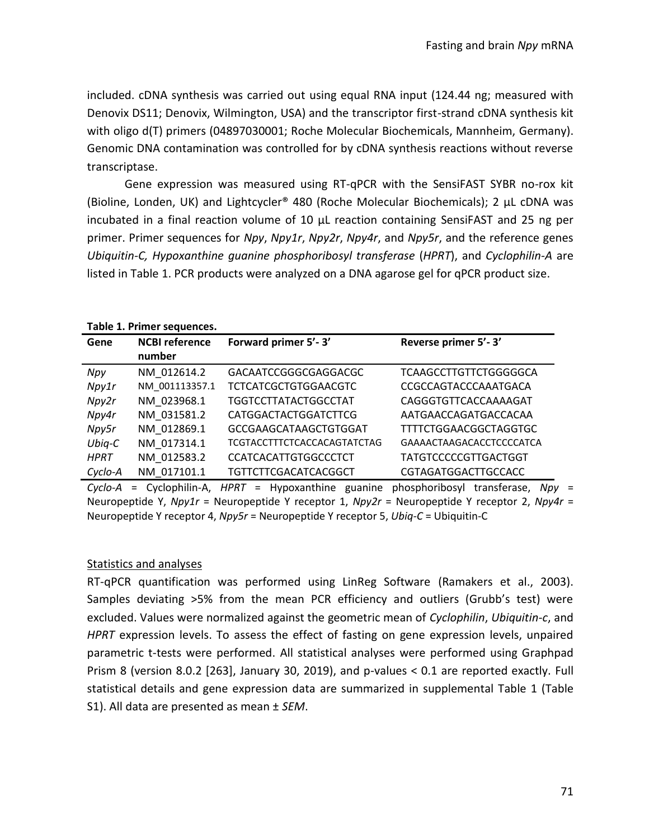included. cDNA synthesis was carried out using equal RNA input (124.44 ng; measured with Denovix DS11; Denovix, Wilmington, USA) and the transcriptor first-strand cDNA synthesis kit with oligo d(T) primers (04897030001; Roche Molecular Biochemicals, Mannheim, Germany). Genomic DNA contamination was controlled for by cDNA synthesis reactions without reverse transcriptase.

Gene expression was measured using RT-qPCR with the SensiFAST SYBR no-rox kit (Bioline, Londen, UK) and Lightcycler® 480 (Roche Molecular Biochemicals); 2 µL cDNA was incubated in a final reaction volume of 10  $\mu$ L reaction containing SensiFAST and 25 ng per primer. Primer sequences for *Npy*, *Npy1r*, *Npy2r*, *Npy4r*, and *Npy5r*, and the reference genes *Ubiquitin-C, Hypoxanthine guanine phosphoribosyl transferase* (*HPRT*), and *Cyclophilin-A* are listed in Table 1. PCR products were analyzed on a DNA agarose gel for qPCR product size.

#### **Table 1. Primer sequences.**

| Gene        | <b>NCBI reference</b> | Forward primer 5'-3'               | Reverse primer 5'-3'         |
|-------------|-----------------------|------------------------------------|------------------------------|
|             | number                |                                    |                              |
| Npy         | NM 012614.2           | GACAATCCGGGCGAGGACGC               | TCAAGCCTTGTTCTGGGGGCA        |
| Npy1r       | NM 001113357.1        | <b>TCTCATCGCTGTGGAACGTC</b>        | CCGCCAGTACCCAAATGACA         |
| Npy2r       | NM 023968.1           | <b>TGGTCCTTATACTGGCCTAT</b>        | CAGGGTGTTCACCAAAAGAT         |
| Npy4r       | NM 031581.2           | <b>CATGGACTACTGGATCTTCG</b>        | AATGAACCAGATGACCACAA         |
| Npy5r       | NM 012869.1           | <b>GCCGAAGCATAAGCTGTGGAT</b>       | <b>TTTTCTGGAACGGCTAGGTGC</b> |
| $Ubiq-C$    | NM 017314.1           | <b>TCGTACCTTTCTCACCACAGTATCTAG</b> | GAAAACTAAGACACCTCCCCATCA     |
| <b>HPRT</b> | NM 012583.2           | <b>CCATCACATTGTGGCCCTCT</b>        | <b>TATGTCCCCCGTTGACTGGT</b>  |
| Cyclo-A     | NM 017101.1           | TGTTCTTCGACATCACGGCT               | CGTAGATGGACTTGCCACC          |

*Cyclo-A* = Cyclophilin-A, *HPRT* = Hypoxanthine guanine phosphoribosyl transferase, *Npy* = Neuropeptide Y, *Npy1r* = Neuropeptide Y receptor 1, *Npy2r* = Neuropeptide Y receptor 2, *Npy4r* = Neuropeptide Y receptor 4, *Npy5r* = Neuropeptide Y receptor 5, *Ubiq-C* = Ubiquitin-C

#### Statistics and analyses

RT-qPCR quantification was performed using LinReg Software (Ramakers et al., 2003). Samples deviating >5% from the mean PCR efficiency and outliers (Grubb's test) were excluded. Values were normalized against the geometric mean of *Cyclophilin*, *Ubiquitin-c*, and *HPRT* expression levels. To assess the effect of fasting on gene expression levels, unpaired parametric t-tests were performed. All statistical analyses were performed using Graphpad Prism 8 (version 8.0.2 [263], January 30, 2019), and p-values < 0.1 are reported exactly. Full statistical details and gene expression data are summarized in supplemental Table 1 (Table S1). All data are presented as mean ± *SEM*.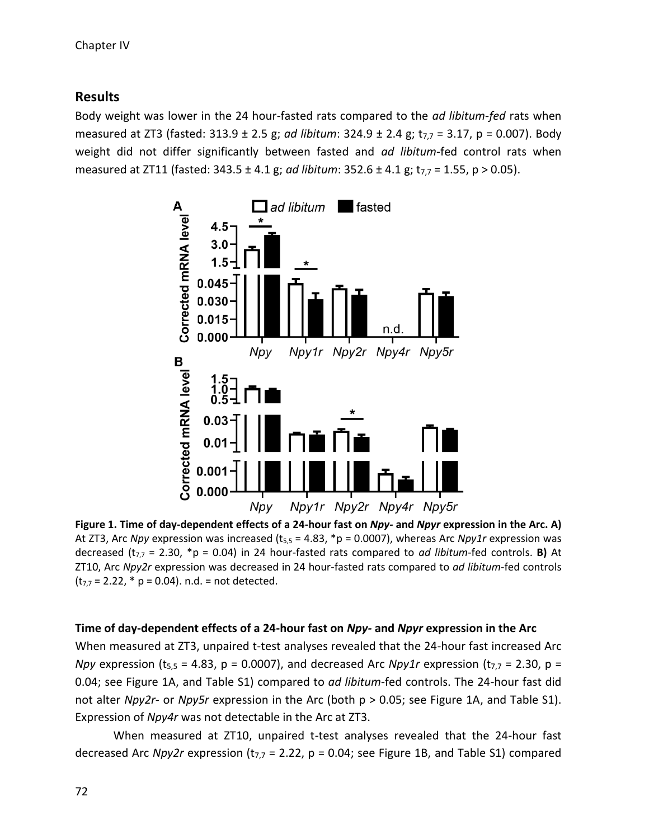# **Results**

Body weight was lower in the 24 hour-fasted rats compared to the *ad libitum-fed* rats when measured at ZT3 (fasted: 313.9 ± 2.5 g; *ad libitum*: 324.9 ± 2.4 g; t7,7 = 3.17, p = 0.007). Body weight did not differ significantly between fasted and *ad libitum*-fed control rats when measured at ZT11 (fasted: 343.5 ± 4.1 g; *ad libitum*: 352.6 ± 4.1 g; t<sub>7.7</sub> = 1.55, p > 0.05).



**Figure 1. Time of day-dependent effects of a 24-hour fast on** *Npy-* **and** *Npyr* **expression in the Arc. A)**  At ZT3, Arc *Npy* expression was increased ( $t_{5,5} = 4.83$ , \*p = 0.0007), whereas Arc *Npy1r* expression was decreased  $(t_{7,7} = 2.30, *p = 0.04)$  in 24 hour-fasted rats compared to *ad libitum*-fed controls. **B)** At ZT10, Arc *Npy2r* expression was decreased in 24 hour-fasted rats compared to *ad libitum*-fed controls  $(t_{7,7} = 2.22, * p = 0.04)$ . n.d. = not detected.

### **Time of day-dependent effects of a 24-hour fast on** *Npy-* **and** *Npyr* **expression in the Arc**

When measured at ZT3, unpaired t-test analyses revealed that the 24-hour fast increased Arc *Npy* expression ( $t_{5,5}$  = 4.83, p = 0.0007), and decreased Arc *Npy1r* expression ( $t_{7,7}$  = 2.30, p = 0.04; see Figure 1A, and Table S1) compared to *ad libitum*-fed controls. The 24-hour fast did not alter *Npy2r-* or *Npy5r* expression in the Arc (both p > 0.05; see Figure 1A, and Table S1). Expression of *Npy4r* was not detectable in the Arc at ZT3.

When measured at ZT10, unpaired t-test analyses revealed that the 24-hour fast decreased Arc *Npy2r* expression ( $t_{7,7}$  = 2.22,  $p$  = 0.04; see Figure 1B, and Table S1) compared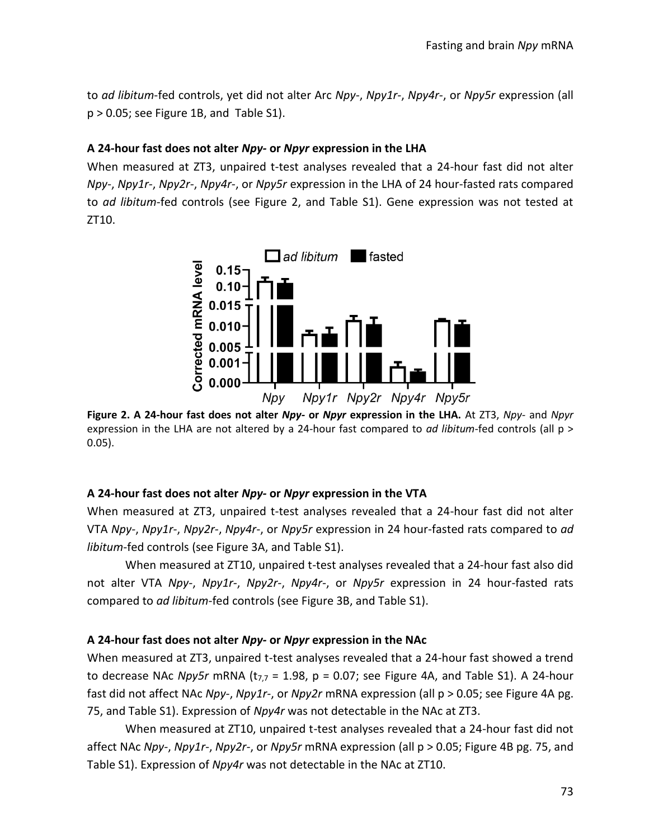to *ad libitum*-fed controls, yet did not alter Arc *Npy-*, *Npy1r-*, *Npy4r-*, or *Npy5r* expression (all p > 0.05; see Figure 1B, and Table S1).

# **A 24-hour fast does not alter** *Npy-* **or** *Npyr* **expression in the LHA**

When measured at ZT3, unpaired t-test analyses revealed that a 24-hour fast did not alter *Npy-*, *Npy1r-*, *Npy2r-*, *Npy4r-*, or *Npy5r* expression in the LHA of 24 hour-fasted rats compared to *ad libitum*-fed controls (see Figure 2, and Table S1). Gene expression was not tested at ZT10.



**Figure 2. A 24-hour fast does not alter** *Npy-* **or** *Npyr* **expression in the LHA.** At ZT3, *Npy-* and *Npyr*  expression in the LHA are not altered by a 24-hour fast compared to *ad libitum*-fed controls (all p > 0.05).

# **A 24-hour fast does not alter** *Npy-* **or** *Npyr* **expression in the VTA**

When measured at ZT3, unpaired t-test analyses revealed that a 24-hour fast did not alter VTA *Npy-*, *Npy1r-*, *Npy2r-*, *Npy4r-*, or *Npy5r* expression in 24 hour-fasted rats compared to *ad libitum*-fed controls (see Figure 3A, and Table S1).

When measured at ZT10, unpaired t-test analyses revealed that a 24-hour fast also did not alter VTA *Npy-*, *Npy1r-*, *Npy2r-*, *Npy4r-*, or *Npy5r* expression in 24 hour-fasted rats compared to *ad libitum*-fed controls (see Figure 3B, and Table S1).

# **A 24-hour fast does not alter** *Npy-* **or** *Npyr* **expression in the NAc**

When measured at ZT3, unpaired t-test analyses revealed that a 24-hour fast showed a trend to decrease NAc *Npy5r* mRNA ( $t_{7,7}$  = 1.98, p = 0.07; see Figure 4A, and Table S1). A 24-hour fast did not affect NAc *Npy-*, *Npy1r-*, or *Npy2r* mRNA expression (all p > 0.05; see Figure 4A pg. 75, and Table S1). Expression of *Npy4r* was not detectable in the NAc at ZT3.

When measured at ZT10, unpaired t-test analyses revealed that a 24-hour fast did not affect NAc *Npy-*, *Npy1r-*, *Npy2r-*, or *Npy5r* mRNA expression (all p > 0.05; Figure 4B pg. 75, and Table S1). Expression of *Npy4r* was not detectable in the NAc at ZT10.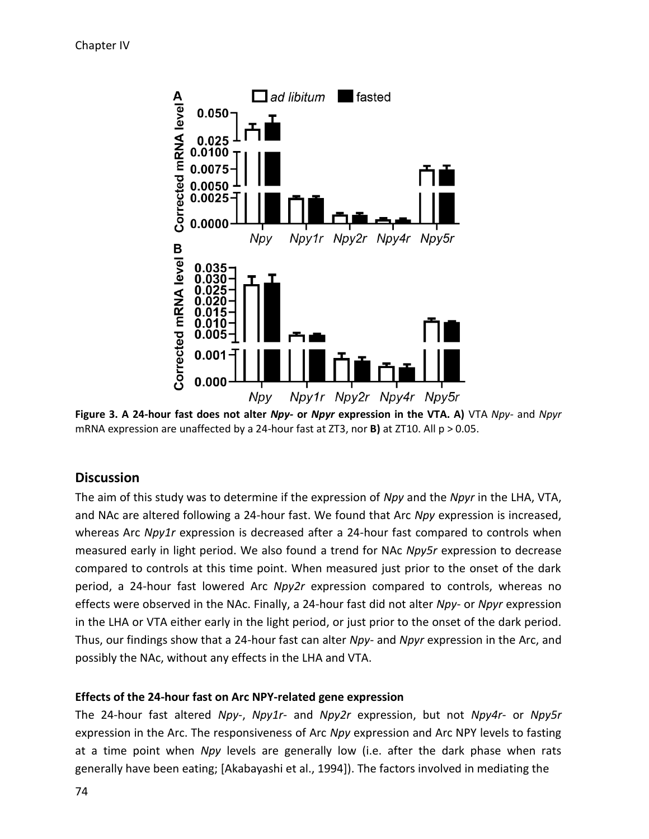

**Figure 3. A 24-hour fast does not alter** *Npy-* **or** *Npyr* **expression in the VTA. A)** VTA *Npy-* and *Npyr* mRNA expression are unaffected by a 24-hour fast at ZT3, nor **B)** at ZT10. All p > 0.05.

# **Discussion**

The aim of this study was to determine if the expression of *Npy* and the *Npyr* in the LHA, VTA, and NAc are altered following a 24-hour fast. We found that Arc *Npy* expression is increased, whereas Arc *Npy1r* expression is decreased after a 24-hour fast compared to controls when measured early in light period. We also found a trend for NAc *Npy5r* expression to decrease compared to controls at this time point. When measured just prior to the onset of the dark period, a 24-hour fast lowered Arc *Npy2r* expression compared to controls, whereas no effects were observed in the NAc. Finally, a 24-hour fast did not alter *Npy-* or *Npyr* expression in the LHA or VTA either early in the light period, or just prior to the onset of the dark period. Thus, our findings show that a 24-hour fast can alter *Npy-* and *Npyr* expression in the Arc, and possibly the NAc, without any effects in the LHA and VTA.

### **Effects of the 24-hour fast on Arc NPY-related gene expression**

The 24-hour fast altered *Npy-*, *Npy1r-* and *Npy2r* expression, but not *Npy4r-* or *Npy5r*  expression in the Arc. The responsiveness of Arc *Npy* expression and Arc NPY levels to fasting at a time point when *Npy* levels are generally low (i.e. after the dark phase when rats generally have been eating; [Akabayashi et al., 1994]). The factors involved in mediating the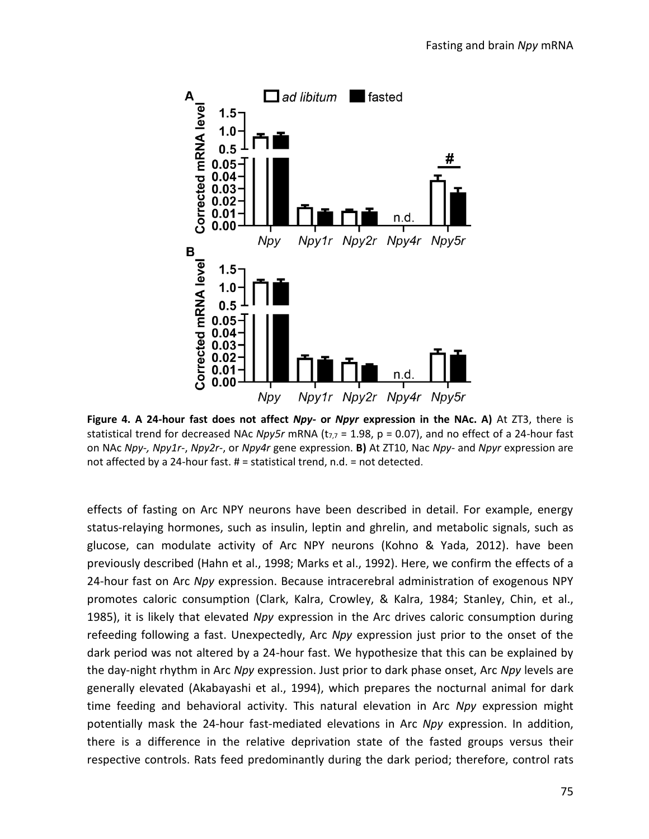

**Figure 4. A 24-hour fast does not affect** *Npy-* **or** *Npyr* **expression in the NAc. A)** At ZT3, there is statistical trend for decreased NAc *Npy5r* mRNA ( $t_{7,7}$  = 1.98, p = 0.07), and no effect of a 24-hour fast on NAc *Npy-, Npy1r-*, *Npy2r-*, or *Npy4r* gene expression. **B)** At ZT10, Nac *Npy-* and *Npyr* expression are not affected by a 24-hour fast. # = statistical trend, n.d. = not detected.

effects of fasting on Arc NPY neurons have been described in detail. For example, energy status-relaying hormones, such as insulin, leptin and ghrelin, and metabolic signals, such as glucose, can modulate activity of Arc NPY neurons (Kohno & Yada, 2012). have been previously described (Hahn et al., 1998; Marks et al., 1992). Here, we confirm the effects of a 24-hour fast on Arc *Npy* expression. Because intracerebral administration of exogenous NPY promotes caloric consumption (Clark, Kalra, Crowley, & Kalra, 1984; Stanley, Chin, et al., 1985), it is likely that elevated *Npy* expression in the Arc drives caloric consumption during refeeding following a fast. Unexpectedly, Arc *Npy* expression just prior to the onset of the dark period was not altered by a 24-hour fast. We hypothesize that this can be explained by the day-night rhythm in Arc *Npy* expression. Just prior to dark phase onset, Arc *Npy* levels are generally elevated (Akabayashi et al., 1994), which prepares the nocturnal animal for dark time feeding and behavioral activity. This natural elevation in Arc *Npy* expression might potentially mask the 24-hour fast-mediated elevations in Arc *Npy* expression. In addition, there is a difference in the relative deprivation state of the fasted groups versus their respective controls. Rats feed predominantly during the dark period; therefore, control rats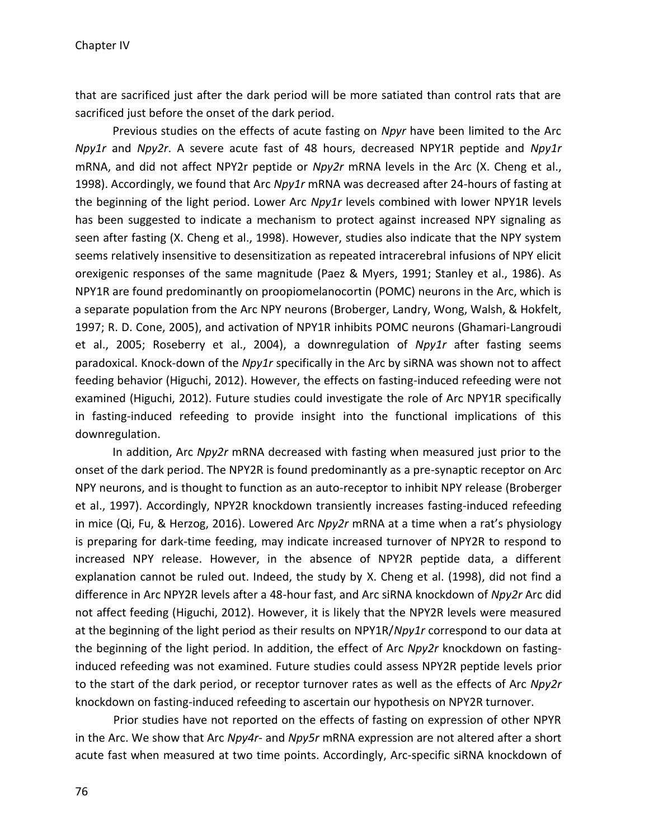that are sacrificed just after the dark period will be more satiated than control rats that are sacrificed just before the onset of the dark period.

Previous studies on the effects of acute fasting on *Npyr* have been limited to the Arc *Npy1r* and *Npy2r*. A severe acute fast of 48 hours, decreased NPY1R peptide and *Npy1r* mRNA, and did not affect NPY2r peptide or *Npy2r* mRNA levels in the Arc (X. Cheng et al., 1998). Accordingly, we found that Arc *Npy1r* mRNA was decreased after 24-hours of fasting at the beginning of the light period. Lower Arc *Npy1r* levels combined with lower NPY1R levels has been suggested to indicate a mechanism to protect against increased NPY signaling as seen after fasting (X. Cheng et al., 1998). However, studies also indicate that the NPY system seems relatively insensitive to desensitization as repeated intracerebral infusions of NPY elicit orexigenic responses of the same magnitude (Paez & Myers, 1991; Stanley et al., 1986). As NPY1R are found predominantly on proopiomelanocortin (POMC) neurons in the Arc, which is a separate population from the Arc NPY neurons (Broberger, Landry, Wong, Walsh, & Hokfelt, 1997; R. D. Cone, 2005), and activation of NPY1R inhibits POMC neurons (Ghamari-Langroudi et al., 2005; Roseberry et al., 2004), a downregulation of *Npy1r* after fasting seems paradoxical. Knock-down of the *Npy1r* specifically in the Arc by siRNA was shown not to affect feeding behavior (Higuchi, 2012). However, the effects on fasting-induced refeeding were not examined (Higuchi, 2012). Future studies could investigate the role of Arc NPY1R specifically in fasting-induced refeeding to provide insight into the functional implications of this downregulation.

In addition, Arc *Npy2r* mRNA decreased with fasting when measured just prior to the onset of the dark period. The NPY2R is found predominantly as a pre-synaptic receptor on Arc NPY neurons, and is thought to function as an auto-receptor to inhibit NPY release (Broberger et al., 1997). Accordingly, NPY2R knockdown transiently increases fasting-induced refeeding in mice (Qi, Fu, & Herzog, 2016). Lowered Arc *Npy2r* mRNA at a time when a rat's physiology is preparing for dark-time feeding, may indicate increased turnover of NPY2R to respond to increased NPY release. However, in the absence of NPY2R peptide data, a different explanation cannot be ruled out. Indeed, the study by X. Cheng et al. (1998), did not find a difference in Arc NPY2R levels after a 48-hour fast, and Arc siRNA knockdown of *Npy2r* Arc did not affect feeding (Higuchi, 2012). However, it is likely that the NPY2R levels were measured at the beginning of the light period as their results on NPY1R/*Npy1r* correspond to our data at the beginning of the light period. In addition, the effect of Arc *Npy2r* knockdown on fastinginduced refeeding was not examined. Future studies could assess NPY2R peptide levels prior to the start of the dark period, or receptor turnover rates as well as the effects of Arc *Npy2r* knockdown on fasting-induced refeeding to ascertain our hypothesis on NPY2R turnover.

Prior studies have not reported on the effects of fasting on expression of other NPYR in the Arc. We show that Arc *Npy4r-* and *Npy5r* mRNA expression are not altered after a short acute fast when measured at two time points. Accordingly, Arc-specific siRNA knockdown of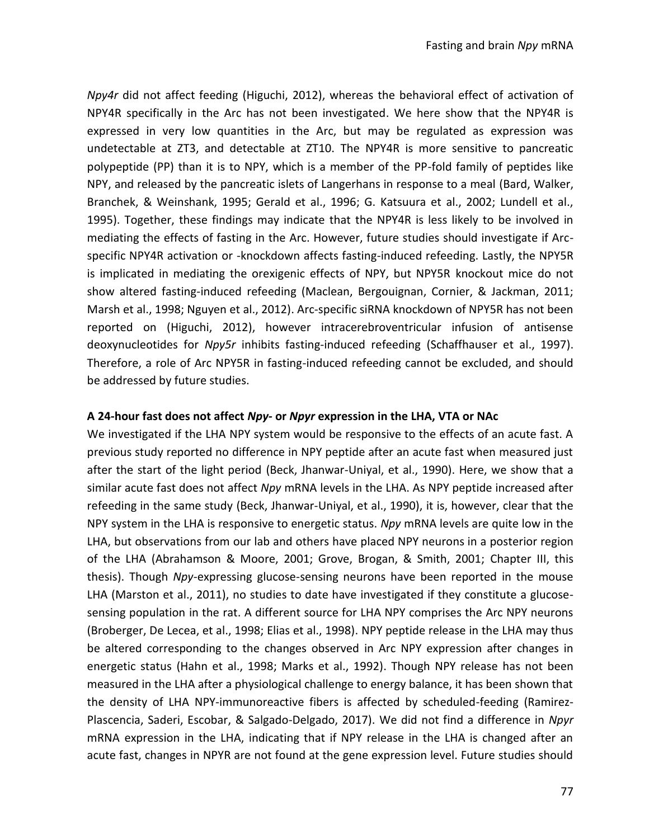*Npy4r* did not affect feeding (Higuchi, 2012), whereas the behavioral effect of activation of NPY4R specifically in the Arc has not been investigated. We here show that the NPY4R is expressed in very low quantities in the Arc, but may be regulated as expression was undetectable at ZT3, and detectable at ZT10. The NPY4R is more sensitive to pancreatic polypeptide (PP) than it is to NPY, which is a member of the PP-fold family of peptides like NPY, and released by the pancreatic islets of Langerhans in response to a meal (Bard, Walker, Branchek, & Weinshank, 1995; Gerald et al., 1996; G. Katsuura et al., 2002; Lundell et al., 1995). Together, these findings may indicate that the NPY4R is less likely to be involved in mediating the effects of fasting in the Arc. However, future studies should investigate if Arcspecific NPY4R activation or -knockdown affects fasting-induced refeeding. Lastly, the NPY5R is implicated in mediating the orexigenic effects of NPY, but NPY5R knockout mice do not show altered fasting-induced refeeding (Maclean, Bergouignan, Cornier, & Jackman, 2011; Marsh et al., 1998; Nguyen et al., 2012). Arc-specific siRNA knockdown of NPY5R has not been reported on (Higuchi, 2012), however intracerebroventricular infusion of antisense deoxynucleotides for *Npy5r* inhibits fasting-induced refeeding (Schaffhauser et al., 1997). Therefore, a role of Arc NPY5R in fasting-induced refeeding cannot be excluded, and should be addressed by future studies.

#### **A 24-hour fast does not affect** *Npy-* **or** *Npyr* **expression in the LHA, VTA or NAc**

We investigated if the LHA NPY system would be responsive to the effects of an acute fast. A previous study reported no difference in NPY peptide after an acute fast when measured just after the start of the light period (Beck, Jhanwar-Uniyal, et al., 1990). Here, we show that a similar acute fast does not affect *Npy* mRNA levels in the LHA. As NPY peptide increased after refeeding in the same study (Beck, Jhanwar-Uniyal, et al., 1990), it is, however, clear that the NPY system in the LHA is responsive to energetic status. *Npy* mRNA levels are quite low in the LHA, but observations from our lab and others have placed NPY neurons in a posterior region of the LHA (Abrahamson & Moore, 2001; Grove, Brogan, & Smith, 2001; Chapter III, this thesis). Though *Npy*-expressing glucose-sensing neurons have been reported in the mouse LHA (Marston et al., 2011), no studies to date have investigated if they constitute a glucosesensing population in the rat. A different source for LHA NPY comprises the Arc NPY neurons (Broberger, De Lecea, et al., 1998; Elias et al., 1998). NPY peptide release in the LHA may thus be altered corresponding to the changes observed in Arc NPY expression after changes in energetic status (Hahn et al., 1998; Marks et al., 1992). Though NPY release has not been measured in the LHA after a physiological challenge to energy balance, it has been shown that the density of LHA NPY-immunoreactive fibers is affected by scheduled-feeding (Ramirez-Plascencia, Saderi, Escobar, & Salgado-Delgado, 2017). We did not find a difference in *Npyr* mRNA expression in the LHA, indicating that if NPY release in the LHA is changed after an acute fast, changes in NPYR are not found at the gene expression level. Future studies should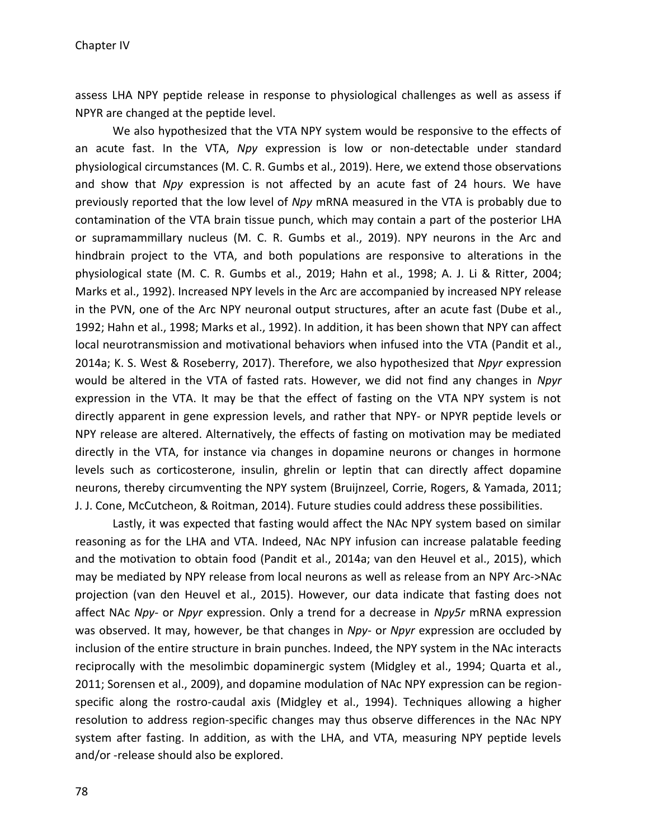assess LHA NPY peptide release in response to physiological challenges as well as assess if NPYR are changed at the peptide level.

We also hypothesized that the VTA NPY system would be responsive to the effects of an acute fast. In the VTA, *Npy* expression is low or non-detectable under standard physiological circumstances (M. C. R. Gumbs et al., 2019). Here, we extend those observations and show that *Npy* expression is not affected by an acute fast of 24 hours. We have previously reported that the low level of *Npy* mRNA measured in the VTA is probably due to contamination of the VTA brain tissue punch, which may contain a part of the posterior LHA or supramammillary nucleus (M. C. R. Gumbs et al., 2019). NPY neurons in the Arc and hindbrain project to the VTA, and both populations are responsive to alterations in the physiological state (M. C. R. Gumbs et al., 2019; Hahn et al., 1998; A. J. Li & Ritter, 2004; Marks et al., 1992). Increased NPY levels in the Arc are accompanied by increased NPY release in the PVN, one of the Arc NPY neuronal output structures, after an acute fast (Dube et al., 1992; Hahn et al., 1998; Marks et al., 1992). In addition, it has been shown that NPY can affect local neurotransmission and motivational behaviors when infused into the VTA (Pandit et al., 2014a; K. S. West & Roseberry, 2017). Therefore, we also hypothesized that *Npyr* expression would be altered in the VTA of fasted rats. However, we did not find any changes in *Npyr* expression in the VTA. It may be that the effect of fasting on the VTA NPY system is not directly apparent in gene expression levels, and rather that NPY- or NPYR peptide levels or NPY release are altered. Alternatively, the effects of fasting on motivation may be mediated directly in the VTA, for instance via changes in dopamine neurons or changes in hormone levels such as corticosterone, insulin, ghrelin or leptin that can directly affect dopamine neurons, thereby circumventing the NPY system (Bruijnzeel, Corrie, Rogers, & Yamada, 2011; J. J. Cone, McCutcheon, & Roitman, 2014). Future studies could address these possibilities.

Lastly, it was expected that fasting would affect the NAc NPY system based on similar reasoning as for the LHA and VTA. Indeed, NAc NPY infusion can increase palatable feeding and the motivation to obtain food (Pandit et al., 2014a; van den Heuvel et al., 2015), which may be mediated by NPY release from local neurons as well as release from an NPY Arc->NAc projection (van den Heuvel et al., 2015). However, our data indicate that fasting does not affect NAc *Npy-* or *Npyr* expression. Only a trend for a decrease in *Npy5r* mRNA expression was observed. It may, however, be that changes in *Npy-* or *Npyr* expression are occluded by inclusion of the entire structure in brain punches. Indeed, the NPY system in the NAc interacts reciprocally with the mesolimbic dopaminergic system (Midgley et al., 1994; Quarta et al., 2011; Sorensen et al., 2009), and dopamine modulation of NAc NPY expression can be regionspecific along the rostro-caudal axis (Midgley et al., 1994). Techniques allowing a higher resolution to address region-specific changes may thus observe differences in the NAc NPY system after fasting. In addition, as with the LHA, and VTA, measuring NPY peptide levels and/or -release should also be explored.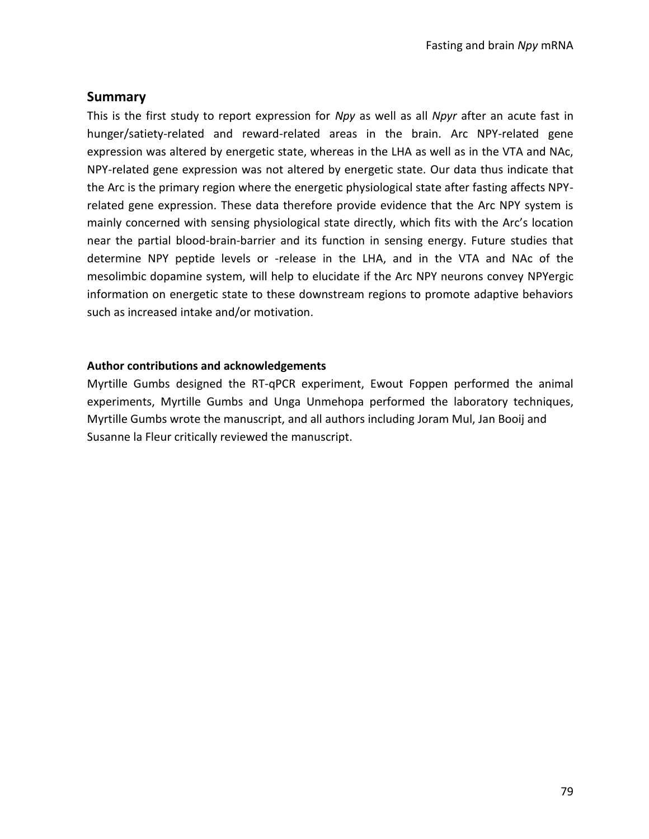# **Summary**

This is the first study to report expression for *Npy* as well as all *Npyr* after an acute fast in hunger/satiety-related and reward-related areas in the brain. Arc NPY-related gene expression was altered by energetic state, whereas in the LHA as well as in the VTA and NAc, NPY-related gene expression was not altered by energetic state. Our data thus indicate that the Arc is the primary region where the energetic physiological state after fasting affects NPYrelated gene expression. These data therefore provide evidence that the Arc NPY system is mainly concerned with sensing physiological state directly, which fits with the Arc's location near the partial blood-brain-barrier and its function in sensing energy. Future studies that determine NPY peptide levels or -release in the LHA, and in the VTA and NAc of the mesolimbic dopamine system, will help to elucidate if the Arc NPY neurons convey NPYergic information on energetic state to these downstream regions to promote adaptive behaviors such as increased intake and/or motivation.

# **Author contributions and acknowledgements**

Myrtille Gumbs designed the RT-qPCR experiment, Ewout Foppen performed the animal experiments, Myrtille Gumbs and Unga Unmehopa performed the laboratory techniques, Myrtille Gumbs wrote the manuscript, and all authors including Joram Mul, Jan Booij and Susanne la Fleur critically reviewed the manuscript.